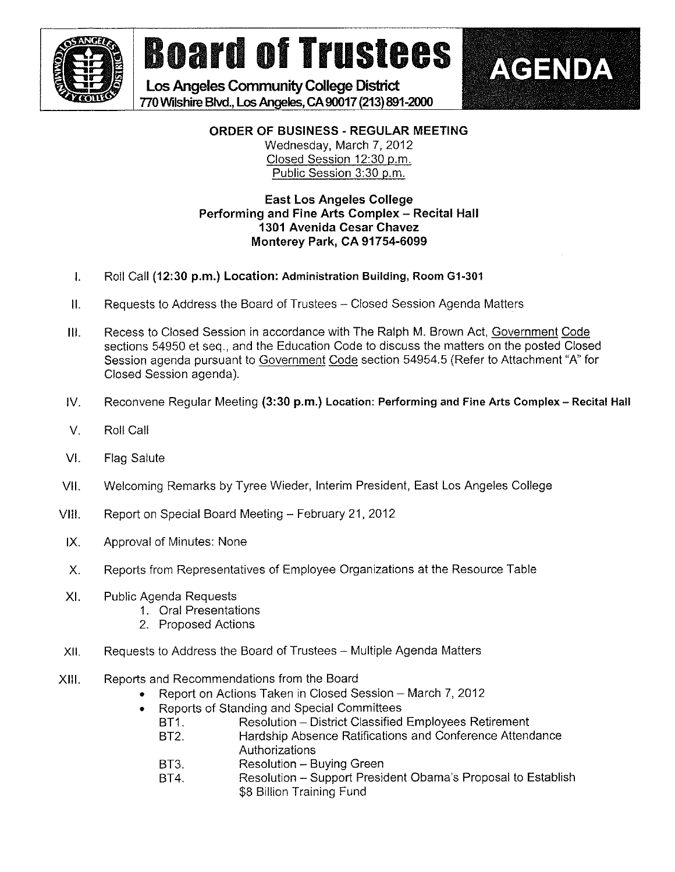

# **Board of Trustees**

Los Angeles Community College District 770 Wilshirc Blvd., Los Angeles, CA 90017 (213) 891-2000



**AGENDA** 

Wednesday, March 7, 2012 Closed Session 12:30 p.m. Public Session 3:30 p.m.

### East Los Angeles College Performing and Fine Arts Complex - Recital Hall 1301 Avenida Cesar Chavez Monterey Park, CA 91754-6099

- 1. Roll Call (12:30 p.m.) Location: Administration Building, Room G1-301
- II. Requests to Address the Board of Trustees Closed Session Agenda Matters
- III. Recess to Closed Session in accordance with The Raiph M. Brown Act, Government Code sections 54950 et seq., and the Education Code to discuss the matters on the posted Closed Session agenda pursuant to Government Code section 54954,5 (Refer to Attachment "A" for Oosed Session agenda).
- IV. Reconvene Regular Meeting (3:30 p.m.) Location: Performing and Fine Arts Complex Recital Hall
- V. Roll Call
- VI. Flag Salute
- VII. Welcoming Remarks by Tyree Wieder, Interim President. East Los Angeles Coifege
- VIII. Report on Special Board Meeting February 21, 2012
- IX. Approvai of Minutes: None
- X. Reports from Representatives of Employee Organizations at the Resource Table
- Xl. Public Agenda Requests
	- 1. Orai Presentations
	- 2. Proposed Actions
- Xli, Requests to Address the Board of Trustees Multiple Agenda Matters
- XIII. Reports and Recommendations from the Board
	- Report on Actions Taken in Closed Session March 7, 2012
	- . Reports of Standing and Special Committees
		- BT1. Resolution District Classified Employees Retirement
		- BT2. Hardship Absence Ratifications and Conference Attendance Authorizations
		- BT3. Resolution Buying Green
		- BT4. Resoiution ~ Support President Obama's Proposai to Establish \$8 Billion Training Fund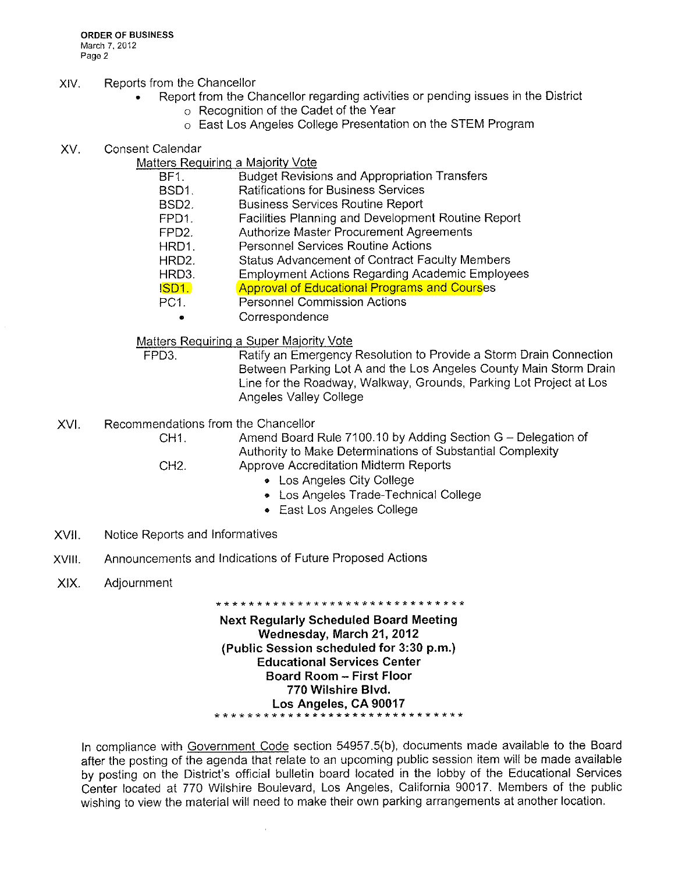**ORDER OF BUSINESS** March 7, 2012 Page 2

#### XIV. Reports from the Chancellor

- Report from the Chancellor regarding activities or pending issues in the District
	- o Recognition of the Cadet of the Year
	- o East Los Angeles College Presentation on the STEM Program
- XV. Consent Calendar

#### Matters Requiring a Majority Vote

- **Budget Revisions and Appropriation Transfers** BF1.
- BSD1. **Ratifications for Business Services**
- **Business Services Routine Report** BSD<sub>2</sub>
- Facilities Planning and Development Routine Report FPD1.
- FPD<sub>2</sub>. **Authorize Master Procurement Agreements**
- **Personnel Services Routine Actions** HRD1.
- HRD<sub>2</sub> **Status Advancement of Contract Faculty Members**
- **Employment Actions Regarding Academic Employees** HRD3.
- **Approval of Educational Programs and Courses** ISD1.
- PC1. **Personnel Commission Actions** 
	- Correspondence  $\bullet$

Matters Requiring a Super Majority Vote

Ratify an Emergency Resolution to Provide a Storm Drain Connection FPD3. Between Parking Lot A and the Los Angeles County Main Storm Drain Line for the Roadway, Walkway, Grounds, Parking Lot Project at Los **Angeles Valley College** 

XVI. Recommendations from the Chancellor

Amend Board Rule 7100.10 by Adding Section G - Delegation of CH<sub>1</sub> Authority to Make Determinations of Substantial Complexity Approve Accreditation Midterm Reports CH<sub>2</sub>

- 
- Los Angeles City College
- Los Angeles Trade-Technical College
- East Los Angeles College
- XVII. Notice Reports and Informatives
- Announcements and Indications of Future Proposed Actions XVIII.
- XIX. Adjournment

**Next Requiarly Scheduled Board Meeting** Wednesday, March 21, 2012 (Public Session scheduled for 3:30 p.m.) **Educational Services Center Board Room - First Floor** 770 Wilshire Blvd. Los Angeles, CA 90017 \*\*\*\*\*\*\*\*\*\*\*\*\*\*\*\*\*\*\*\*

\*\*\*\*\*\*\*\*\*\*\*\*\*\*\*\*\*\*\*\*\*\*\*\*\*\*\*\*\*\*

In compliance with Government Code section 54957.5(b), documents made available to the Board after the posting of the agenda that relate to an upcoming public session item will be made available by posting on the District's official bulletin board located in the lobby of the Educational Services Center located at 770 Wilshire Boulevard, Los Angeles, California 90017. Members of the public wishing to view the material will need to make their own parking arrangements at another location.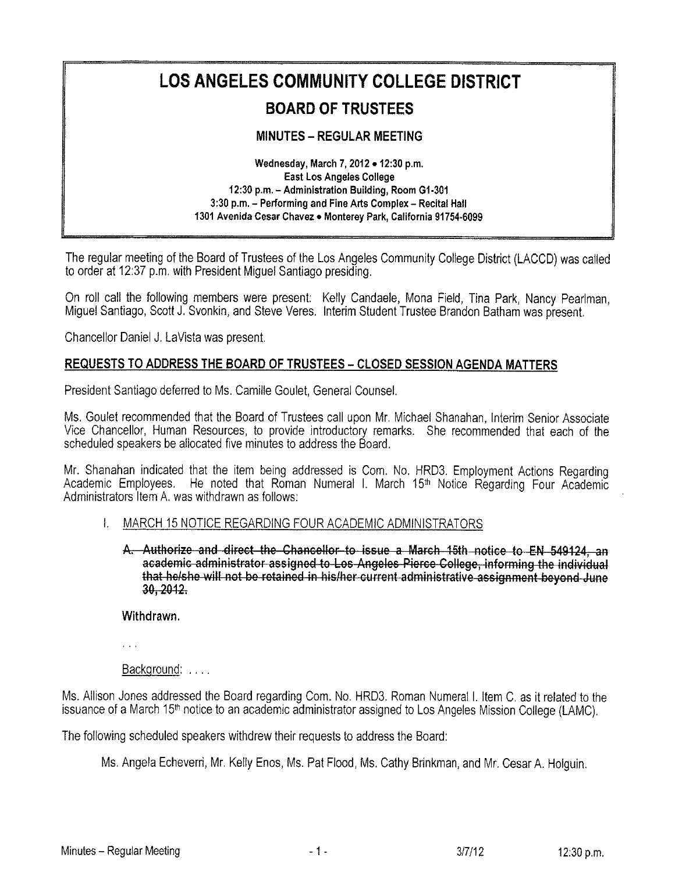# LOS ANGELES COMMUNITY COLLEGE DISTRICT

# BOARD OF TRUSTEES

## MINUTES - REGULAR MEETING

Wednesday, March 7, 2012 . 12:30 p.m. East Los Angeles College 12:30 p.m. - Administration Building, Room G1-301 3:30 p.m. - Performing and Fine Arts Complex - Recital Hall 1301 Avenida Cesar Chavez . Monterey Park, California 91754-6099

The regular meeting of the Board of Trustees of the Los Angeles Community College District (LACCD) was called to order at 12:37 p.m. with President Migue! Santiago presiding.

On roll call the following members were present: Kelly Candaele, Mona Field, Tina Park, Nancy Pearlman, Migue! Santiago, Scott J. Svonkin, and Steve Veres, Interim Student Trustee Brandon Batham was present.

Chancellor Daniel J. La Vista was present.

### REQUESTS TO ADDRESS THE BOARD OF TRUSTEES - CLOSED SESSION AGENDA MATTERS

President Santiago deferred to Ms. Camille Goulet, General Counsel.

Ms. Gouiet recommended that the Board of Trustees call upon Mr. Michae! Shanahan, Interim Senior Associate Vice Chancellor, Human Resources, to provide introductory remarks. She recommended that each of the scheduled speakers be allocated five minutes to address the Board.

Mr. Shanahan indicated that the item being addressed is Com. No. HRD3. Employment Actions Regarding Academic Employees. He noted that Roman Numeral I. March 15<sup>th</sup> Notice Regarding Four Academic Administrators Item A. was withdrawn as follows:

#### 1. MARCH 15 NOTICE REGARDING FOUR ACADEMIC ADMINISTRATORS

A. Authorize and direct the Chancellor to issue a March 15th notice to EN 549124, an academic administrator assigned to Los Angeles Pierce College, informing the individual that he/she will not be retained in his/her current administrative assignment beyond June 30,2012.

Withdrawn,

 $\sim 10^{-1}$ 

Background: ...

Ms. Allison Jones addressed the Board regarding Corn. No. HRD3. Roman Numerai 1. item C. as it related to the issuance of a March 15<sup>th</sup> notice to an academic administrator assigned to Los Angeles Mission College (LAMC),

The following scheduled speakers withdrew their requests to address the Board:

Ms. Angela Echeverri, Mr. Kelly Enos, Ms. Pat Flood, Ms. Cathy Brinkman, and Mr. Cesar A. Holguin,